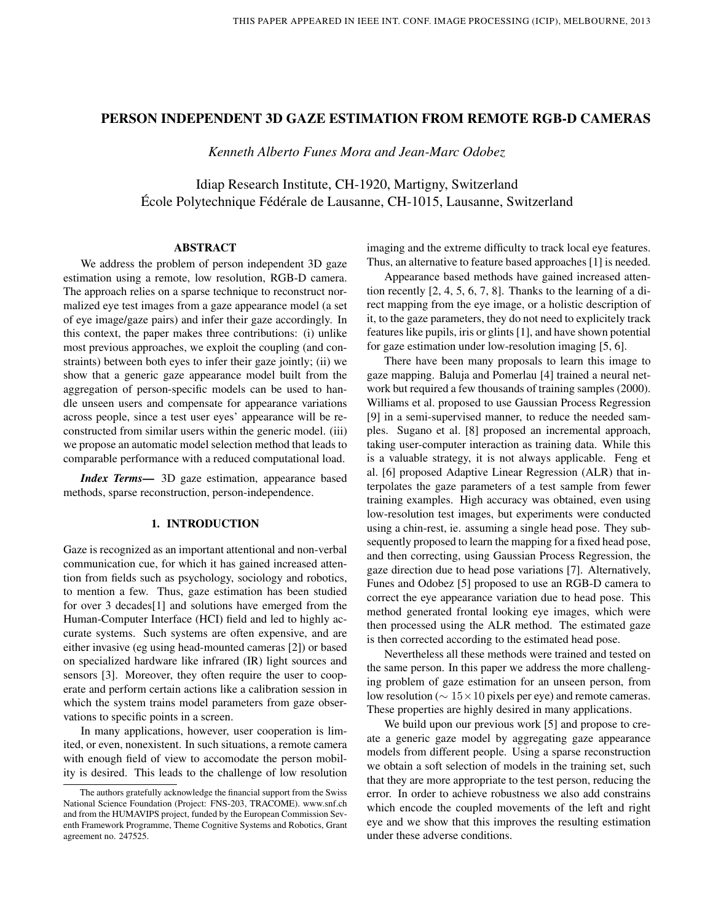# PERSON INDEPENDENT 3D GAZE ESTIMATION FROM REMOTE RGB-D CAMERAS

*Kenneth Alberto Funes Mora and Jean-Marc Odobez*

Idiap Research Institute, CH-1920, Martigny, Switzerland École Polytechnique Fédérale de Lausanne, CH-1015, Lausanne, Switzerland

#### ABSTRACT

We address the problem of person independent 3D gaze estimation using a remote, low resolution, RGB-D camera. The approach relies on a sparse technique to reconstruct normalized eye test images from a gaze appearance model (a set of eye image/gaze pairs) and infer their gaze accordingly. In this context, the paper makes three contributions: (i) unlike most previous approaches, we exploit the coupling (and constraints) between both eyes to infer their gaze jointly; (ii) we show that a generic gaze appearance model built from the aggregation of person-specific models can be used to handle unseen users and compensate for appearance variations across people, since a test user eyes' appearance will be reconstructed from similar users within the generic model. (iii) we propose an automatic model selection method that leads to comparable performance with a reduced computational load.

*Index Terms*— 3D gaze estimation, appearance based methods, sparse reconstruction, person-independence.

## 1. INTRODUCTION

Gaze is recognized as an important attentional and non-verbal communication cue, for which it has gained increased attention from fields such as psychology, sociology and robotics, to mention a few. Thus, gaze estimation has been studied for over 3 decades[1] and solutions have emerged from the Human-Computer Interface (HCI) field and led to highly accurate systems. Such systems are often expensive, and are either invasive (eg using head-mounted cameras [2]) or based on specialized hardware like infrared (IR) light sources and sensors [3]. Moreover, they often require the user to cooperate and perform certain actions like a calibration session in which the system trains model parameters from gaze observations to specific points in a screen.

In many applications, however, user cooperation is limited, or even, nonexistent. In such situations, a remote camera with enough field of view to accomodate the person mobility is desired. This leads to the challenge of low resolution imaging and the extreme difficulty to track local eye features. Thus, an alternative to feature based approaches [1] is needed.

Appearance based methods have gained increased attention recently [2, 4, 5, 6, 7, 8]. Thanks to the learning of a direct mapping from the eye image, or a holistic description of it, to the gaze parameters, they do not need to explicitely track features like pupils, iris or glints [1], and have shown potential for gaze estimation under low-resolution imaging [5, 6].

There have been many proposals to learn this image to gaze mapping. Baluja and Pomerlau [4] trained a neural network but required a few thousands of training samples (2000). Williams et al. proposed to use Gaussian Process Regression [9] in a semi-supervised manner, to reduce the needed samples. Sugano et al. [8] proposed an incremental approach, taking user-computer interaction as training data. While this is a valuable strategy, it is not always applicable. Feng et al. [6] proposed Adaptive Linear Regression (ALR) that interpolates the gaze parameters of a test sample from fewer training examples. High accuracy was obtained, even using low-resolution test images, but experiments were conducted using a chin-rest, ie. assuming a single head pose. They subsequently proposed to learn the mapping for a fixed head pose, and then correcting, using Gaussian Process Regression, the gaze direction due to head pose variations [7]. Alternatively, Funes and Odobez [5] proposed to use an RGB-D camera to correct the eye appearance variation due to head pose. This method generated frontal looking eye images, which were then processed using the ALR method. The estimated gaze is then corrected according to the estimated head pose.

Nevertheless all these methods were trained and tested on the same person. In this paper we address the more challenging problem of gaze estimation for an unseen person, from low resolution ( $\sim 15 \times 10$  pixels per eye) and remote cameras. These properties are highly desired in many applications.

We build upon our previous work [5] and propose to create a generic gaze model by aggregating gaze appearance models from different people. Using a sparse reconstruction we obtain a soft selection of models in the training set, such that they are more appropriate to the test person, reducing the error. In order to achieve robustness we also add constrains which encode the coupled movements of the left and right eye and we show that this improves the resulting estimation under these adverse conditions.

The authors gratefully acknowledge the financial support from the Swiss National Science Foundation (Project: FNS-203, TRACOME). www.snf.ch and from the HUMAVIPS project, funded by the European Commission Seventh Framework Programme, Theme Cognitive Systems and Robotics, Grant agreement no. 247525.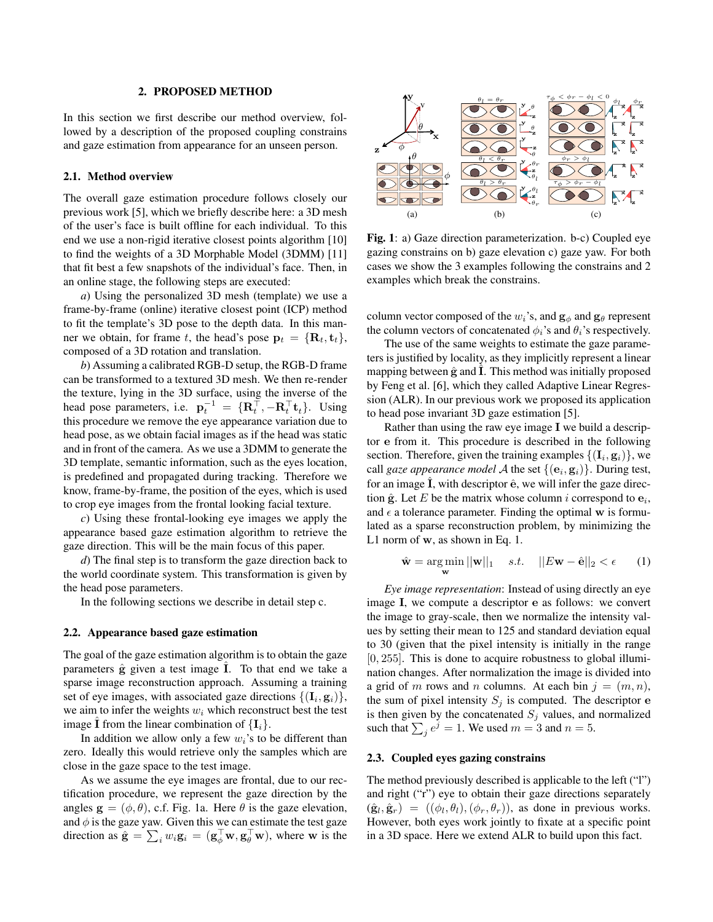# 2. PROPOSED METHOD

In this section we first describe our method overview, followed by a description of the proposed coupling constrains and gaze estimation from appearance for an unseen person.

### 2.1. Method overview

The overall gaze estimation procedure follows closely our previous work [5], which we briefly describe here: a 3D mesh of the user's face is built offline for each individual. To this end we use a non-rigid iterative closest points algorithm [10] to find the weights of a 3D Morphable Model (3DMM) [11] that fit best a few snapshots of the individual's face. Then, in an online stage, the following steps are executed:

*a*) Using the personalized 3D mesh (template) we use a frame-by-frame (online) iterative closest point (ICP) method to fit the template's 3D pose to the depth data. In this manner we obtain, for frame t, the head's pose  $\mathbf{p}_t = {\mathbf{R}_t, \mathbf{t}_t},$ composed of a 3D rotation and translation.

*b*) Assuming a calibrated RGB-D setup, the RGB-D frame can be transformed to a textured 3D mesh. We then re-render the texture, lying in the 3D surface, using the inverse of the head pose parameters, i.e.  $\mathbf{p}_t^{-1} = \{\mathbf{R}_t^{\top}, -\mathbf{R}_t^{\top} \mathbf{t}_t\}$ . Using this procedure we remove the eye appearance variation due to head pose, as we obtain facial images as if the head was static and in front of the camera. As we use a 3DMM to generate the 3D template, semantic information, such as the eyes location, is predefined and propagated during tracking. Therefore we know, frame-by-frame, the position of the eyes, which is used to crop eye images from the frontal looking facial texture.

*c*) Using these frontal-looking eye images we apply the appearance based gaze estimation algorithm to retrieve the gaze direction. This will be the main focus of this paper.

*d*) The final step is to transform the gaze direction back to the world coordinate system. This transformation is given by the head pose parameters.

In the following sections we describe in detail step c.

# 2.2. Appearance based gaze estimation

The goal of the gaze estimation algorithm is to obtain the gaze parameters  $\hat{g}$  given a test image  $\hat{I}$ . To that end we take a sparse image reconstruction approach. Assuming a training set of eye images, with associated gaze directions  $\{(\mathbf{I}_i, \mathbf{g}_i)\},$ we aim to infer the weights  $w_i$  which reconstruct best the test image **I** from the linear combination of  $\{I_i\}$ .

In addition we allow only a few  $w_i$ 's to be different than zero. Ideally this would retrieve only the samples which are close in the gaze space to the test image.

As we assume the eye images are frontal, due to our rectification procedure, we represent the gaze direction by the angles  $\mathbf{g} = (\phi, \theta)$ , c.f. Fig. 1a. Here  $\theta$  is the gaze elevation, and  $\phi$  is the gaze yaw. Given this we can estimate the test gaze direction as  $\hat{\mathbf{g}} = \sum_i w_i \mathbf{g}_i = (\mathbf{g}_{\phi}^{\top} \mathbf{w}, \mathbf{g}_{\theta}^{\top} \mathbf{w})$ , where w is the



Fig. 1: a) Gaze direction parameterization. b-c) Coupled eye gazing constrains on b) gaze elevation c) gaze yaw. For both cases we show the 3 examples following the constrains and 2 examples which break the constrains.

column vector composed of the  $w_i$ 's, and  $g_\phi$  and  $g_\theta$  represent the column vectors of concatenated  $\phi_i$ 's and  $\theta_i$ 's respectively.

The use of the same weights to estimate the gaze parameters is justified by locality, as they implicitly represent a linear mapping between  $\hat{g}$  and  $\hat{I}$ . This method was initially proposed by Feng et al. [6], which they called Adaptive Linear Regression (ALR). In our previous work we proposed its application to head pose invariant 3D gaze estimation [5].

Rather than using the raw eye image I we build a descriptor e from it. This procedure is described in the following section. Therefore, given the training examples  $\{(\mathbf{I}_i, \mathbf{g}_i)\}\)$ , we call *gaze appearance model*  $\mathcal A$  the set  $\{(\mathbf e_i, \mathbf g_i)\}$ . During test, for an image  $\overline{I}$ , with descriptor  $\hat{e}$ , we will infer the gaze direction  $\hat{\mathbf{g}}$ . Let E be the matrix whose column *i* correspond to  $\mathbf{e}_i$ , and  $\epsilon$  a tolerance parameter. Finding the optimal w is formulated as a sparse reconstruction problem, by minimizing the L1 norm of w, as shown in Eq. 1.

$$
\hat{\mathbf{w}} = \underset{\mathbf{w}}{\arg\min} ||\mathbf{w}||_1 \quad s.t. \quad ||E\mathbf{w} - \hat{\mathbf{e}}||_2 < \epsilon \qquad (1)
$$

*Eye image representation*: Instead of using directly an eye image I, we compute a descriptor e as follows: we convert the image to gray-scale, then we normalize the intensity values by setting their mean to 125 and standard deviation equal to 30 (given that the pixel intensity is initially in the range [0, 255]. This is done to acquire robustness to global illumination changes. After normalization the image is divided into a grid of m rows and n columns. At each bin  $j = (m, n)$ , the sum of pixel intensity  $S_i$  is computed. The descriptor e is then given by the concatenated  $S_i$  values, and normalized such that  $\sum_j e^j = 1$ . We used  $m = 3$  and  $n = 5$ .

# 2.3. Coupled eyes gazing constrains

The method previously described is applicable to the left ("l") and right ("r") eye to obtain their gaze directions separately  $(\hat{\mathbf{g}}_l, \hat{\mathbf{g}}_r) = ((\phi_l, \theta_l), (\phi_r, \theta_r))$ , as done in previous works. However, both eyes work jointly to fixate at a specific point in a 3D space. Here we extend ALR to build upon this fact.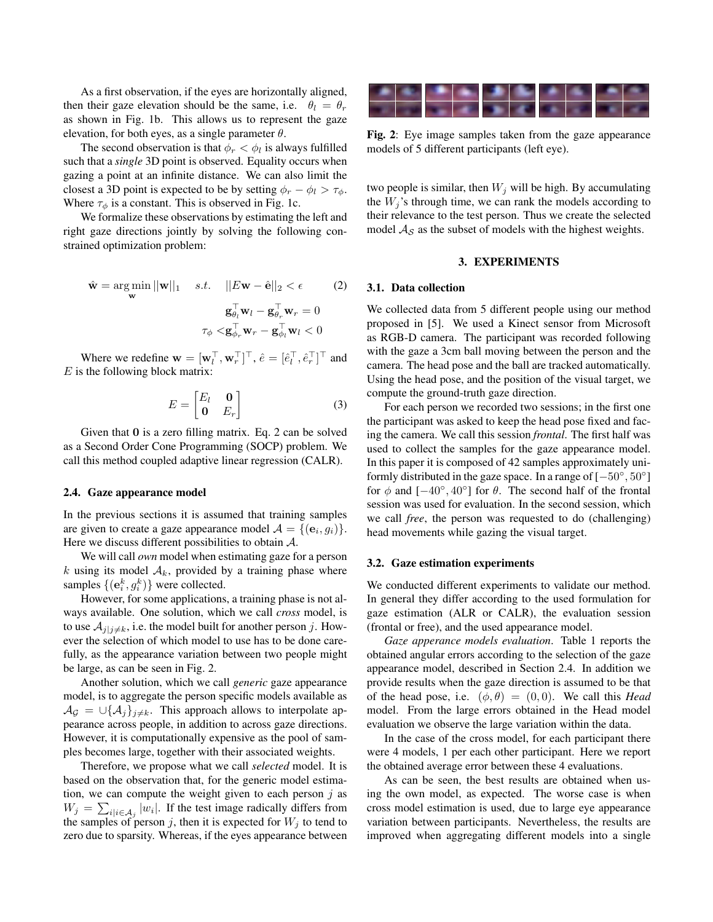As a first observation, if the eyes are horizontally aligned, then their gaze elevation should be the same, i.e.  $\theta_l = \theta_r$ as shown in Fig. 1b. This allows us to represent the gaze elevation, for both eyes, as a single parameter  $\theta$ .

The second observation is that  $\phi_r < \phi_l$  is always fulfilled such that a *single* 3D point is observed. Equality occurs when gazing a point at an infinite distance. We can also limit the closest a 3D point is expected to be by setting  $\phi_r - \phi_l > \tau_{\phi}$ . Where  $\tau_{\phi}$  is a constant. This is observed in Fig. 1c.

We formalize these observations by estimating the left and right gaze directions jointly by solving the following constrained optimization problem:

$$
\hat{\mathbf{w}} = \arg\min_{\mathbf{w}} ||\mathbf{w}||_1 \quad s.t. \quad ||E\mathbf{w} - \hat{\mathbf{e}}||_2 < \epsilon \tag{2}
$$

$$
\mathbf{g}_{\theta_l}^{\top} \mathbf{w}_l - \mathbf{g}_{\theta_r}^{\top} \mathbf{w}_r = 0
$$

$$
\tau_{\phi} < \mathbf{g}_{\phi_r}^{\top} \mathbf{w}_r - \mathbf{g}_{\phi_l}^{\top} \mathbf{w}_l < 0
$$

Where we redefine  $\mathbf{w} = [\mathbf{w}_l^\top, \mathbf{w}_r^\top]^\top$ ,  $\hat{e} = [\hat{e}_l^\top, \hat{e}_r^\top]^\top$  and  $E$  is the following block matrix:

$$
E = \begin{bmatrix} E_l & \mathbf{0} \\ \mathbf{0} & E_r \end{bmatrix} \tag{3}
$$

Given that 0 is a zero filling matrix. Eq. 2 can be solved as a Second Order Cone Programming (SOCP) problem. We call this method coupled adaptive linear regression (CALR).

## 2.4. Gaze appearance model

In the previous sections it is assumed that training samples are given to create a gaze appearance model  $\mathcal{A} = \{(\mathbf{e}_i, g_i)\}.$ Here we discuss different possibilities to obtain  $A$ .

We will call *own* model when estimating gaze for a person k using its model  $A_k$ , provided by a training phase where samples  $\{(\mathbf{e}_i^k, g_i^k)\}$  were collected.

However, for some applications, a training phase is not always available. One solution, which we call *cross* model, is to use  $A_{j|j\neq k}$ , i.e. the model built for another person j. However the selection of which model to use has to be done carefully, as the appearance variation between two people might be large, as can be seen in Fig. 2.

Another solution, which we call *generic* gaze appearance model, is to aggregate the person specific models available as  $\mathcal{A}_{\mathcal{G}} = \bigcup \{\mathcal{A}_j\}_{j \neq k}$ . This approach allows to interpolate appearance across people, in addition to across gaze directions. However, it is computationally expensive as the pool of samples becomes large, together with their associated weights.

Therefore, we propose what we call *selected* model. It is based on the observation that, for the generic model estimation, we can compute the weight given to each person  $j$  as  $W_j = \sum_{i|i \in A_j} |w_i|$ . If the test image radically differs from the samples of person j, then it is expected for  $W_i$  to tend to zero due to sparsity. Whereas, if the eyes appearance between



Fig. 2: Eye image samples taken from the gaze appearance models of 5 different participants (left eye).

two people is similar, then  $W_i$  will be high. By accumulating the  $W_i$ 's through time, we can rank the models according to their relevance to the test person. Thus we create the selected model  $A_{\mathcal{S}}$  as the subset of models with the highest weights.

# 3. EXPERIMENTS

#### 3.1. Data collection

We collected data from 5 different people using our method proposed in [5]. We used a Kinect sensor from Microsoft as RGB-D camera. The participant was recorded following with the gaze a 3cm ball moving between the person and the camera. The head pose and the ball are tracked automatically. Using the head pose, and the position of the visual target, we compute the ground-truth gaze direction.

For each person we recorded two sessions; in the first one the participant was asked to keep the head pose fixed and facing the camera. We call this session *frontal*. The first half was used to collect the samples for the gaze appearance model. In this paper it is composed of 42 samples approximately uniformly distributed in the gaze space. In a range of  $[-50^{\circ}, 50^{\circ}]$ for  $\phi$  and  $[-40^{\circ}, 40^{\circ}]$  for  $\theta$ . The second half of the frontal session was used for evaluation. In the second session, which we call *free*, the person was requested to do (challenging) head movements while gazing the visual target.

#### 3.2. Gaze estimation experiments

We conducted different experiments to validate our method. In general they differ according to the used formulation for gaze estimation (ALR or CALR), the evaluation session (frontal or free), and the used appearance model.

*Gaze apperance models evaluation*. Table 1 reports the obtained angular errors according to the selection of the gaze appearance model, described in Section 2.4. In addition we provide results when the gaze direction is assumed to be that of the head pose, i.e.  $(\phi, \theta) = (0, 0)$ . We call this *Head* model. From the large errors obtained in the Head model evaluation we observe the large variation within the data.

In the case of the cross model, for each participant there were 4 models, 1 per each other participant. Here we report the obtained average error between these 4 evaluations.

As can be seen, the best results are obtained when using the own model, as expected. The worse case is when cross model estimation is used, due to large eye appearance variation between participants. Nevertheless, the results are improved when aggregating different models into a single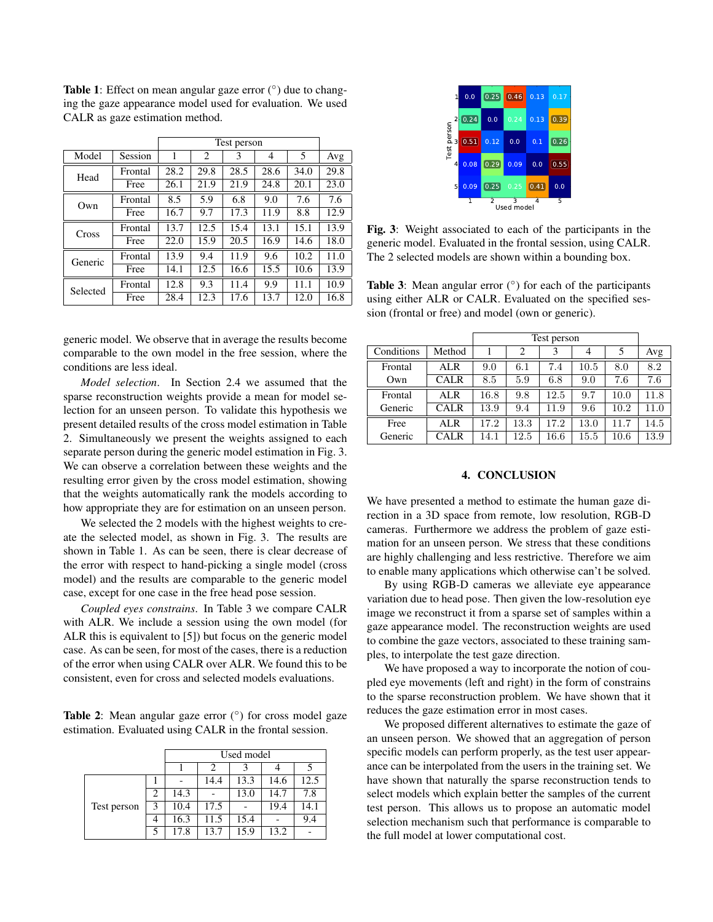Table 1: Effect on mean angular gaze error  $(°)$  due to changing the gaze appearance model used for evaluation. We used CALR as gaze estimation method.

|          |         | Test person |      |      |      |      |      |
|----------|---------|-------------|------|------|------|------|------|
| Model    | Session | 1           | 2    | 3    | 4    | 5    | Avg  |
| Head     | Frontal | 28.2        | 29.8 | 28.5 | 28.6 | 34.0 | 29.8 |
|          | Free    | 26.1        | 21.9 | 21.9 | 24.8 | 20.1 | 23.0 |
| Own      | Frontal | 8.5         | 5.9  | 6.8  | 9.0  | 7.6  | 7.6  |
|          | Free    | 16.7        | 9.7  | 17.3 | 11.9 | 8.8  | 12.9 |
| Cross    | Frontal | 13.7        | 12.5 | 15.4 | 13.1 | 15.1 | 13.9 |
|          | Free    | 22.0        | 15.9 | 20.5 | 16.9 | 14.6 | 18.0 |
| Generic  | Frontal | 13.9        | 9.4  | 11.9 | 9.6  | 10.2 | 11.0 |
|          | Free    | 14.1        | 12.5 | 16.6 | 15.5 | 10.6 | 13.9 |
| Selected | Frontal | 12.8        | 9.3  | 11.4 | 9.9  | 11.1 | 10.9 |
|          | Free    | 28.4        | 12.3 | 17.6 | 13.7 | 12.0 | 16.8 |

generic model. We observe that in average the results become comparable to the own model in the free session, where the conditions are less ideal.

*Model selection*. In Section 2.4 we assumed that the sparse reconstruction weights provide a mean for model selection for an unseen person. To validate this hypothesis we present detailed results of the cross model estimation in Table 2. Simultaneously we present the weights assigned to each separate person during the generic model estimation in Fig. 3. We can observe a correlation between these weights and the resulting error given by the cross model estimation, showing that the weights automatically rank the models according to how appropriate they are for estimation on an unseen person.

We selected the 2 models with the highest weights to create the selected model, as shown in Fig. 3. The results are shown in Table 1. As can be seen, there is clear decrease of the error with respect to hand-picking a single model (cross model) and the results are comparable to the generic model case, except for one case in the free head pose session.

*Coupled eyes constrains*. In Table 3 we compare CALR with ALR. We include a session using the own model (for ALR this is equivalent to [5]) but focus on the generic model case. As can be seen, for most of the cases, there is a reduction of the error when using CALR over ALR. We found this to be consistent, even for cross and selected models evaluations.

Table 2: Mean angular gaze error  $(°)$  for cross model gaze estimation. Evaluated using CALR in the frontal session.

|             | Used model |      |      |      |      |      |
|-------------|------------|------|------|------|------|------|
|             |            |      | 2    |      |      |      |
|             |            |      | 14.4 | 13.3 | 14.6 | 12.5 |
|             | 2          | 14.3 |      | 13.0 | 14.7 | 7.8  |
| Test person | 3          | 10.4 | 17.5 |      | 19.4 | 14.1 |
|             | 4          | 16.3 | 11.5 | 15.4 |      | 9.4  |
|             | 5          | 17.8 | 13.7 | 15.9 | 13.2 |      |



Fig. 3: Weight associated to each of the participants in the generic model. Evaluated in the frontal session, using CALR. The 2 selected models are shown within a bounding box.

Table 3: Mean angular error  $(°)$  for each of the participants using either ALR or CALR. Evaluated on the specified session (frontal or free) and model (own or generic).

|            |             | Test person |      |      |      |      |      |
|------------|-------------|-------------|------|------|------|------|------|
| Conditions | Method      |             | 2    | 3    | 4    | 5    | Avg  |
| Frontal    | ALR.        | 9.0         | 6.1  | 7.4  | 10.5 | 8.0  | 8.2  |
| Own        | <b>CALR</b> | 8.5         | 5.9  | 6.8  | 9.0  | 7.6  | 7.6  |
| Frontal    | ALR         | 16.8        | 9.8  | 12.5 | 9.7  | 10.0 | 11.8 |
| Generic    | <b>CALR</b> | 13.9        | 9.4  | 11.9 | 9.6  | 10.2 | 11.0 |
| Free       | ALR         | 17.2        | 13.3 | 17.2 | 13.0 | 11.7 | 14.5 |
| Generic    | CALR        | 14.1        | 12.5 | 16.6 | 15.5 | 10.6 | 13.9 |

# 4. CONCLUSION

We have presented a method to estimate the human gaze direction in a 3D space from remote, low resolution, RGB-D cameras. Furthermore we address the problem of gaze estimation for an unseen person. We stress that these conditions are highly challenging and less restrictive. Therefore we aim to enable many applications which otherwise can't be solved.

By using RGB-D cameras we alleviate eye appearance variation due to head pose. Then given the low-resolution eye image we reconstruct it from a sparse set of samples within a gaze appearance model. The reconstruction weights are used to combine the gaze vectors, associated to these training samples, to interpolate the test gaze direction.

We have proposed a way to incorporate the notion of coupled eye movements (left and right) in the form of constrains to the sparse reconstruction problem. We have shown that it reduces the gaze estimation error in most cases.

We proposed different alternatives to estimate the gaze of an unseen person. We showed that an aggregation of person specific models can perform properly, as the test user appearance can be interpolated from the users in the training set. We have shown that naturally the sparse reconstruction tends to select models which explain better the samples of the current test person. This allows us to propose an automatic model selection mechanism such that performance is comparable to the full model at lower computational cost.